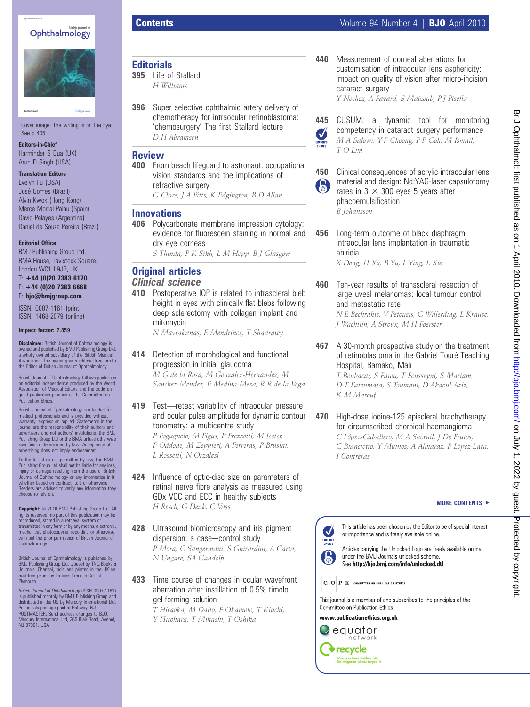## Ophthalmology



Cover image: The writing is on the Eye. See p 405.

Editors-in-Chief Harminder S Dua (UK) Arun D Singh (USA)

Translation Editors

Evelyn Fu (USA) José Gomes (Brazil) Alvin Kwok (Hong Kong) Merce Morral Palau (Spain) David Pelayes (Argentina) Daniel de Souza Pereira (Brazil)

### Editorial Office

BMJ Publishing Group Ltd, BMA House, Tavistock Square, London WC1H 9JR, UK

 $T: +44 (0)20 7383 6170$ F: +44 (0)20 7383 6668 E: bjo@bmjgroup.com

ISSN: 0007-1161 (print) ISSN: 1468-2079 (online)

### Impact factor: 2.859

Disclaimer: British Journal of Ophthalmology is owned and published by BMJ Publishing Group Ltd, a wholly owned subsidiary of the British Medical Association. The owner grants editorial freedom to the Editor of British Journal of Ophthalmology.

British Journal of Ophthalmology follows guidelines<br>on editorial independence produced by the World<br>Association of Medical Editors and the code on<br>good publication practice of the Committee on<br>Publication Ethics.

British Journal of Ophthalmology is intended for medical professionals and is provided without warranty, express or implied. Statements in the journal are the responsibility of their authors and advertisers and not authors' institutions, the BMJ Publishing Group Ltd or the BMA unless otherwise specified or determined by law. Acceptance of advertising does not imply endorsement.

To the fullest extent permitted by law, the BMJ Publishing Group Ltd shall not be liable for any loss, injury or damage resulting from the use of British Journal of Ophthalmology or any information in it whether based on contract, tort or otherwise. Readers are advised to verify any information they choose to rely on.

Copyright: 2010 BMJ Publishing Group Ltd. All rights reserved; no part of this publication may be reproduced, stored in a retrieval system or transmitted in any form or by any means, electronic, mechanical, photocopying, recording or otherwise with out the prior permission of British Journal of Ophthalmology.

British Journal of Ophthalmology is published by BMJ Publishing Group Ltd, typeset by TNQ Books & Journals, Chennai, India and printed in the UK on acid-free paper by Latimer Trend & Co Ltd, **Plymouth** 

*British Journal of Ophthalmology* (ISSN 0007-1161)<br>is published monthly by BMJ Publishing Group and distributed in the US by Mercury International Ltd. Periodicals postage paid at Rahway, NJ. POSTMASTER: Send address changes to BJO, Mercury International Ltd, 365 Blair Road, Avenel, Mercury International<br>NJ 07001, USA

## **Editorials**

395 Life of Stallard H Williams

396 Super selective ophthalmic artery delivery of chemotherapy for intraocular retinoblastoma: 'chemosurgery' The first Stallard lecture D H Abramson

## **Review**

400 From beach lifeguard to astronaut: occupational vision standards and the implications of refractive surgery

G Clare, J A Pitts, K Edgington, B D Allan

## Innovations

406 Polycarbonate membrane impression cytology: evidence for fluorescein staining in normal and dry eye corneas

S Thinda, P K Sikh, L M Hopp, B J Glasgow

# Original articles

## Clinical science

410 Postoperative IOP is related to intrascleral bleb height in eyes with clinically flat blebs following deep sclerectomy with collagen implant and mitomycin

N Mavrakanas, E Mendrinos, T Shaarawy

414 Detection of morphological and functional progression in initial glaucoma

M G de la Rosa, M Gonzalez-Hernandez, M Sanchez-Mendez, E Medina-Mesa, R R de la Vega

419 Test-retest variability of intraocular pressure and ocular pulse amplitude for dynamic contour tonometry: a multicentre study

P Fogagnolo, M Figus, P Frezzotti, M Iester, F Oddone, M Zeppieri, A Ferreras, P Brusini, L Rossetti, N Orzalesi

- 424 Influence of optic-disc size on parameters of retinal nerve fibre analysis as measured using GDx VCC and ECC in healthy subjects H Resch, G Deak, C Vass
- 428 Ultrasound biomicroscopy and iris pigment dispersion: a case-control study

P Mora, C Sangermani, S Ghirardini, A Carta, N Ungaro, SA Gandolfi

433 Time course of changes in ocular wavefront aberration after instillation of 0.5% timolol gel-forming solution

T Hiraoka, M Daito, F Okamoto, T Kiuchi, Y Hirohara, T Mihashi, T Oshika

440 Measurement of corneal aberrations for customisation of intraocular lens asphericity: impact on quality of vision after micro-incision cataract surgery

Y Nochez, A Favard, S Majzoub, P-J Pisella

445 CUSUM: a dynamic tool for monitoring competency in cataract surgery performance Ø M A Salowi, Y-F Choong, P-P Goh, M Ismail, T-O Lim



450 Clinical consequences of acrylic intraocular lens material and design: Nd:YAG-laser capsulotomy rates in  $3 \times 300$  eyes 5 years after phacoemulsification B Johansson

456 Long-term outcome of black diaphragm intraocular lens implantation in traumatic aniridia

X Dong, H Xu, B Yu, L Ying, L Xie

460 Ten-year results of transscleral resection of large uveal melanomas: local tumour control and metastatic rate N E Bechrakis, V Petousis, G Willerding, L Krause,

J Wachtlin, A Stroux, M H Foerster

467 A 30-month prospective study on the treatment of retinoblastoma in the Gabriel Touré Teaching Hospital, Bamako, Mali

T Boubacar, S Fatou, T Fousseyni, S Mariam, D-T Fatoumata, S Toumani, D Abdoul-Aziz, K M Marouf

470 High-dose iodine-125 episcleral brachytherapy for circumscribed choroidal haemangioma C López-Caballero, M A Saornil, J De Frutos, C Bianciotto, Y Muiños, A Almaraz, F López-Lara,

MORE CONTENTS  $\blacktriangleright$ 



I Contreras

This article has been chosen by the Editor to be of special interest or importance and is freely available online.

Articles carrying the Unlocked Logo are freely available online under the BMJ Journals unlocked scheme. See http://bjo.bmj.com/info/unlocked.dtl

 $|\mathbf{G}|\mathbf{O}|\mathbf{P}|\mathbf{E}|$  committee on publication ethics

This journal is a member of and subscribes to the principles of the Committee on Publication Ethics

www.publicationethics.org.uk  $\bigcirc$  equator network